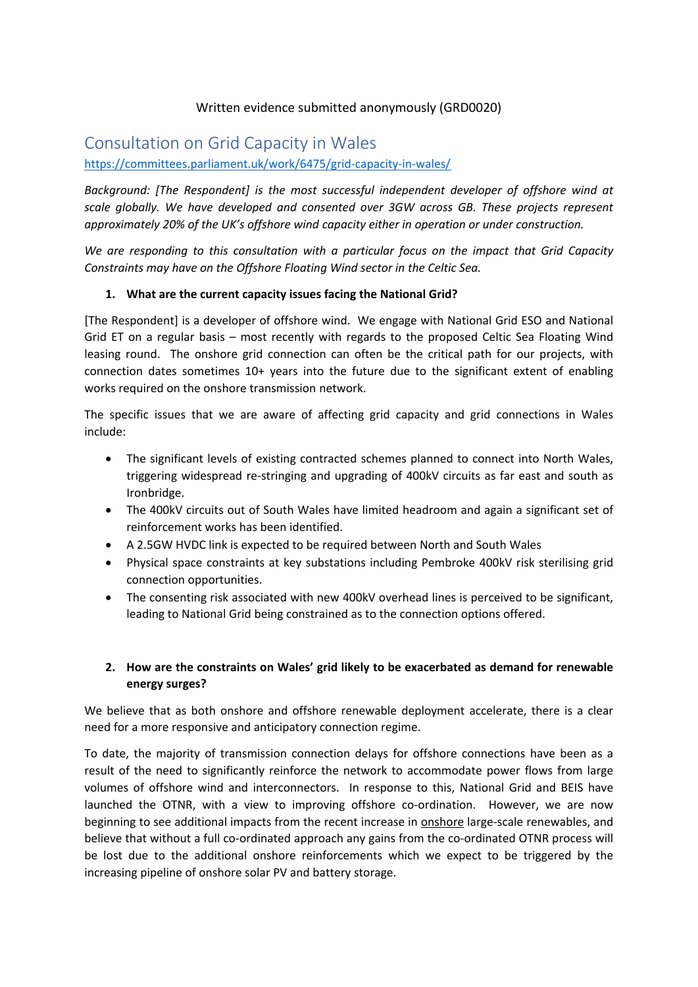## Written evidence submitted anonymously (GRD0020)

# Consultation on Grid Capacity in Wales

<https://committees.parliament.uk/work/6475/grid-capacity-in-wales/>

*Background: [The Respondent] is the most successful independent developer of offshore wind at scale globally. We have developed and consented over 3GW across GB. These projects represent approximately 20% of the UK's offshore wind capacity either in operation or under construction.* 

*We are responding to this consultation with a particular focus on the impact that Grid Capacity Constraints may have on the Offshore Floating Wind sector in the Celtic Sea.*

#### **1. What are the current capacity issues facing the National Grid?**

[The Respondent] is a developer of offshore wind. We engage with National Grid ESO and National Grid ET on a regular basis – most recently with regards to the proposed Celtic Sea Floating Wind leasing round. The onshore grid connection can often be the critical path for our projects, with connection dates sometimes 10+ years into the future due to the significant extent of enabling works required on the onshore transmission network.

The specific issues that we are aware of affecting grid capacity and grid connections in Wales include:

- The significant levels of existing contracted schemes planned to connect into North Wales, triggering widespread re-stringing and upgrading of 400kV circuits as far east and south as Ironbridge.
- The 400kV circuits out of South Wales have limited headroom and again a significant set of reinforcement works has been identified.
- A 2.5GW HVDC link is expected to be required between North and South Wales
- Physical space constraints at key substations including Pembroke 400kV risk sterilising grid connection opportunities.
- The consenting risk associated with new 400kV overhead lines is perceived to be significant, leading to National Grid being constrained as to the connection options offered.

## **2. How are the constraints on Wales' grid likely to be exacerbated as demand for renewable energy surges?**

We believe that as both onshore and offshore renewable deployment accelerate, there is a clear need for a more responsive and anticipatory connection regime.

To date, the majority of transmission connection delays for offshore connections have been as a result of the need to significantly reinforce the network to accommodate power flows from large volumes of offshore wind and interconnectors. In response to this, National Grid and BEIS have launched the OTNR, with a view to improving offshore co-ordination. However, we are now beginning to see additional impacts from the recent increase in onshore large-scale renewables, and believe that without a full co-ordinated approach any gains from the co-ordinated OTNR process will be lost due to the additional onshore reinforcements which we expect to be triggered by the increasing pipeline of onshore solar PV and battery storage.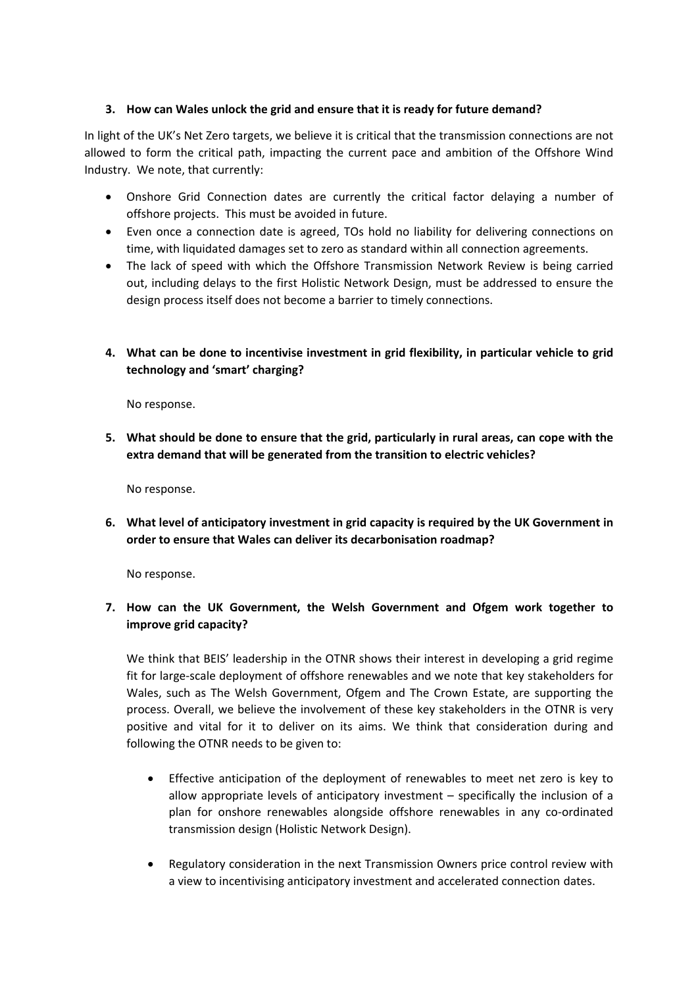#### **3. How can Wales unlock the grid and ensure that it is ready for future demand?**

In light of the UK's Net Zero targets, we believe it is critical that the transmission connections are not allowed to form the critical path, impacting the current pace and ambition of the Offshore Wind Industry. We note, that currently:

- Onshore Grid Connection dates are currently the critical factor delaying a number of offshore projects. This must be avoided in future.
- Even once a connection date is agreed, TOs hold no liability for delivering connections on time, with liquidated damages set to zero as standard within all connection agreements.
- The lack of speed with which the Offshore Transmission Network Review is being carried out, including delays to the first Holistic Network Design, must be addressed to ensure the design process itself does not become a barrier to timely connections.
- **4. What can be done to incentivise investment in grid flexibility, in particular vehicle to grid technology and 'smart' charging?**

No response.

**5. What should be done to ensure that the grid, particularly in rural areas, can cope with the extra demand that will be generated from the transition to electric vehicles?**

No response.

**6. What level of anticipatory investment in grid capacity is required by the UK Government in order to ensure that Wales can deliver its decarbonisation roadmap?**

No response.

## **7. How can the UK Government, the Welsh Government and Ofgem work together to improve grid capacity?**

We think that BEIS' leadership in the OTNR shows their interest in developing a grid regime fit for large-scale deployment of offshore renewables and we note that key stakeholders for Wales, such as The Welsh Government, Ofgem and The Crown Estate, are supporting the process. Overall, we believe the involvement of these key stakeholders in the OTNR is very positive and vital for it to deliver on its aims. We think that consideration during and following the OTNR needs to be given to:

- Effective anticipation of the deployment of renewables to meet net zero is key to allow appropriate levels of anticipatory investment – specifically the inclusion of a plan for onshore renewables alongside offshore renewables in any co-ordinated transmission design (Holistic Network Design).
- Regulatory consideration in the next Transmission Owners price control review with a view to incentivising anticipatory investment and accelerated connection dates.